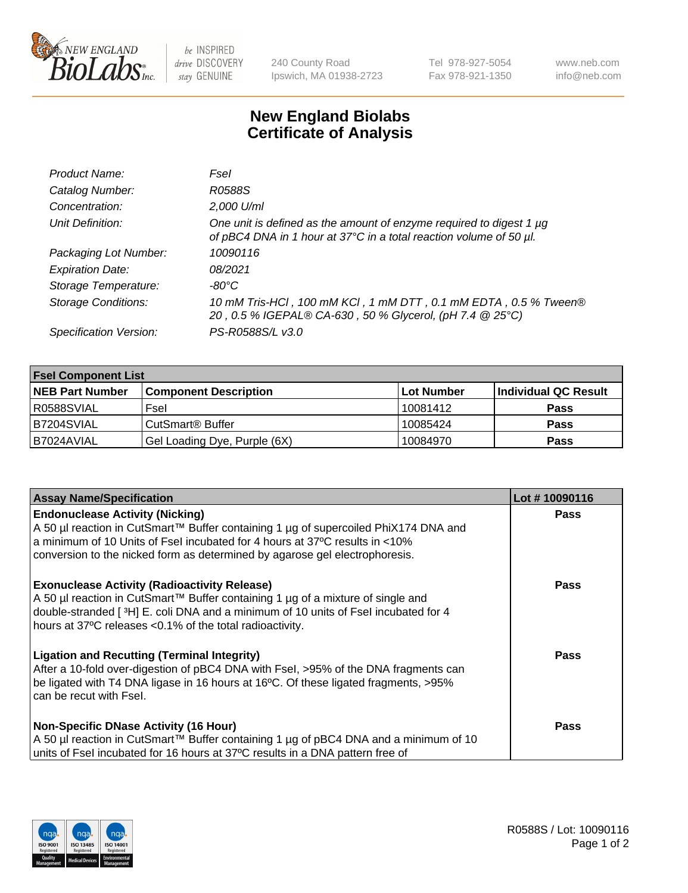

 $be$  INSPIRED drive DISCOVERY stay GENUINE

240 County Road Ipswich, MA 01938-2723 Tel 978-927-5054 Fax 978-921-1350 www.neb.com info@neb.com

## **New England Biolabs Certificate of Analysis**

| Product Name:              | Fsel                                                                                                                                      |
|----------------------------|-------------------------------------------------------------------------------------------------------------------------------------------|
| Catalog Number:            | R0588S                                                                                                                                    |
| Concentration:             | 2,000 U/ml                                                                                                                                |
| Unit Definition:           | One unit is defined as the amount of enzyme required to digest 1 µg<br>of pBC4 DNA in 1 hour at 37°C in a total reaction volume of 50 µl. |
| Packaging Lot Number:      | 10090116                                                                                                                                  |
| <b>Expiration Date:</b>    | 08/2021                                                                                                                                   |
| Storage Temperature:       | -80°C                                                                                                                                     |
| <b>Storage Conditions:</b> | 10 mM Tris-HCl, 100 mM KCl, 1 mM DTT, 0.1 mM EDTA, 0.5 % Tween®<br>20, 0.5 % IGEPAL® CA-630, 50 % Glycerol, (pH 7.4 @ 25°C)               |
| Specification Version:     | PS-R0588S/L v3.0                                                                                                                          |

| <b>Fsel Component List</b> |                              |            |                      |  |  |
|----------------------------|------------------------------|------------|----------------------|--|--|
| <b>NEB Part Number</b>     | <b>Component Description</b> | Lot Number | Individual QC Result |  |  |
| R0588SVIAL                 | Fsel                         | 10081412   | <b>Pass</b>          |  |  |
| B7204SVIAL                 | CutSmart <sup>®</sup> Buffer | 10085424   | <b>Pass</b>          |  |  |
| B7024AVIAL                 | Gel Loading Dye, Purple (6X) | 10084970   | <b>Pass</b>          |  |  |

| <b>Assay Name/Specification</b>                                                                                                                                                                                                                                                          | Lot #10090116 |
|------------------------------------------------------------------------------------------------------------------------------------------------------------------------------------------------------------------------------------------------------------------------------------------|---------------|
| <b>Endonuclease Activity (Nicking)</b><br>  A 50 µl reaction in CutSmart™ Buffer containing 1 µg of supercoiled PhiX174 DNA and<br>a minimum of 10 Units of Fsel incubated for 4 hours at 37°C results in <10%                                                                           | <b>Pass</b>   |
| conversion to the nicked form as determined by agarose gel electrophoresis.                                                                                                                                                                                                              |               |
| <b>Exonuclease Activity (Radioactivity Release)</b><br>A 50 µl reaction in CutSmart™ Buffer containing 1 µg of a mixture of single and<br>double-stranded [3H] E. coli DNA and a minimum of 10 units of Fsel incubated for 4<br>hours at 37°C releases <0.1% of the total radioactivity. | <b>Pass</b>   |
| <b>Ligation and Recutting (Terminal Integrity)</b><br>After a 10-fold over-digestion of pBC4 DNA with Fsel, >95% of the DNA fragments can<br>be ligated with T4 DNA ligase in 16 hours at 16°C. Of these ligated fragments, >95%<br>can be recut with Fsel.                              | Pass          |
| <b>Non-Specific DNase Activity (16 Hour)</b>                                                                                                                                                                                                                                             | <b>Pass</b>   |
| A 50 µl reaction in CutSmart™ Buffer containing 1 µg of pBC4 DNA and a minimum of 10<br>units of Fsel incubated for 16 hours at 37°C results in a DNA pattern free of                                                                                                                    |               |